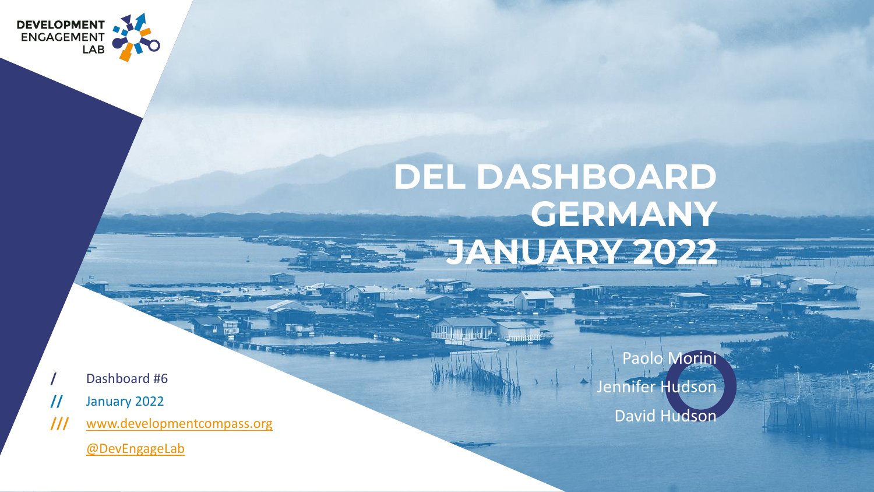

# DEL DASHBOARD **GERMANY** JANUARY 2022

**The complete D<sup>a</sup>n . See man** 

ਾ ਜ

- **/** Dashboard #6
- **//** January 2022
- **///** [www.developmentcompass.org](https://developmentcompass.org/)

[@DevEngageLab](https://twitter.com/DevEngageLab)

Paolo Morini Jennifer Hudson David Hudson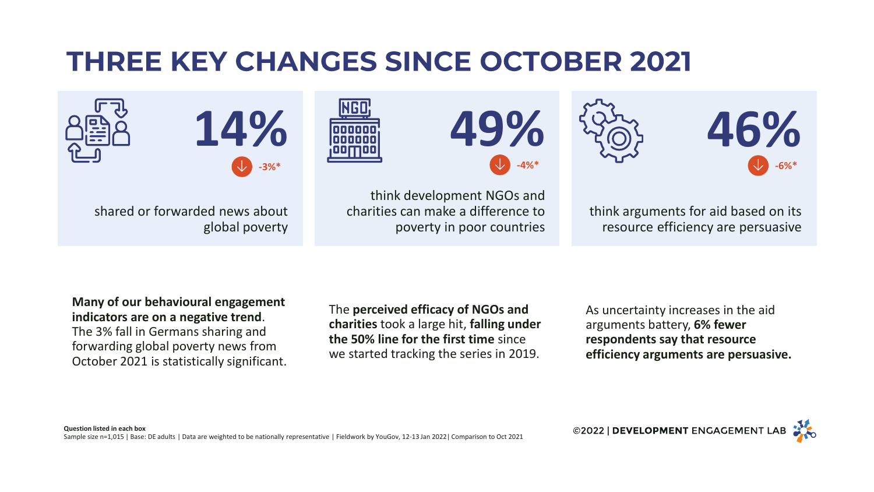# **THREE KEY CHANGES SINCE OCTOBER 2021**













think arguments for aid based on its resource efficiency are persuasive

**Many of our behavioural engagement indicators are on a negative trend**. The 3% fall in Germans sharing and forwarding global poverty news from October 2021 is statistically significant.

shared or forwarded news about

global poverty

The **perceived efficacy of NGOs and charities** took a large hit, **falling under the 50% line for the first time** since we started tracking the series in 2019.

As uncertainty increases in the aid arguments battery, **6% fewer respondents say that resource efficiency arguments are persuasive.**

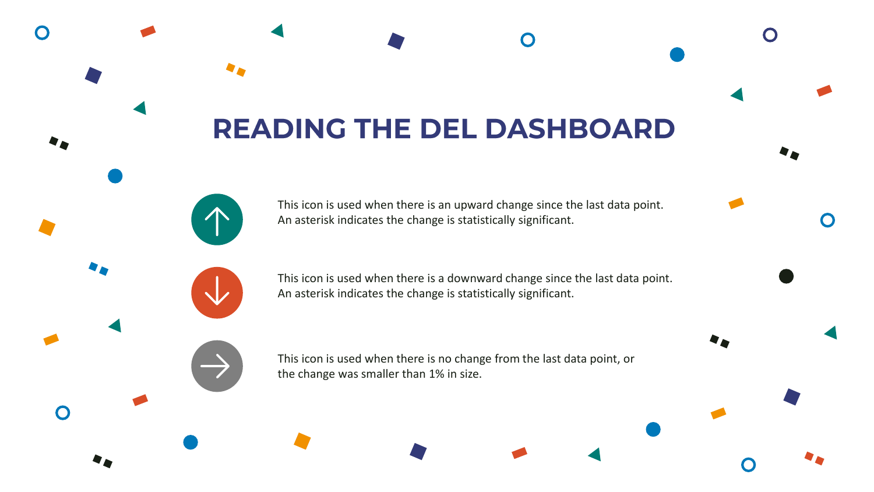# **READING THE DEL DASHBOARD**

This icon is used when there is an upward change since the last data point. An asterisk indicates the change is statistically significant.

This icon is used when there is a downward change since the last data point. An asterisk indicates the change is statistically significant.

This icon is used when there is no change from the last data point, or the change was smaller than 1% in size.

 $\bigcap$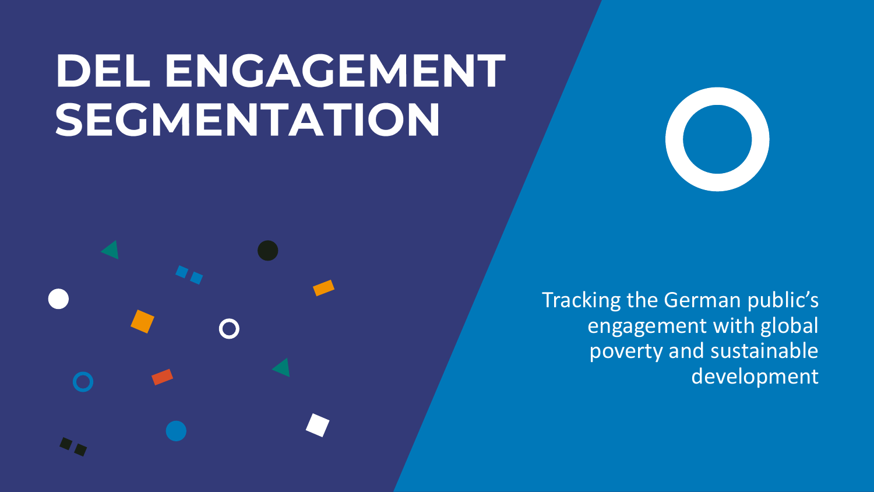# **DEL ENGAGEMENT** SEGMENTATION



Tracking the German public's engagement with global poverty and sustainable development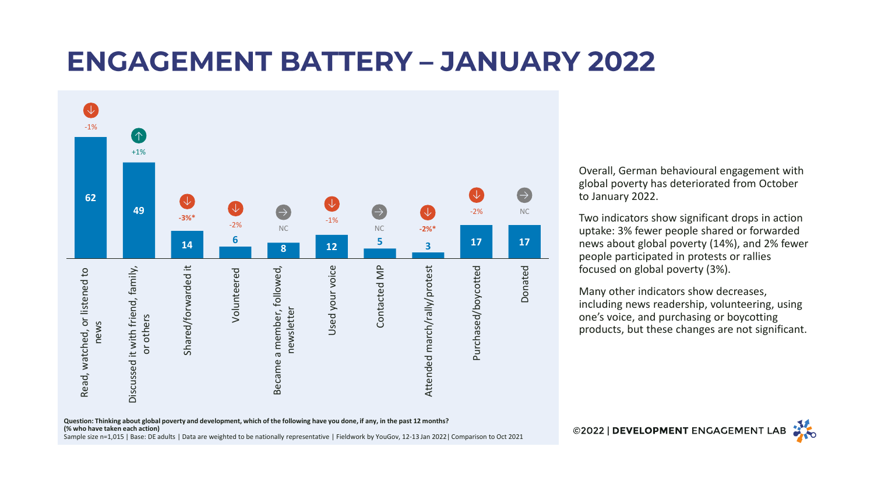### **ENGAGEMENT BATTERY - JANUARY 2022**



Overall, German behavioural engagement with global poverty has deteriorated from October to January 2022.

Two indicators show significant drops in action uptake: 3% fewer people shared or forwarded news about global poverty (14%), and 2% fewer people participated in protests or rallies focused on global poverty (3%).

Many other indicators show decreases, including news readership, volunteering, using one's voice, and purchasing or boycotting products, but these changes are not significant.

**Question: Thinking about global poverty and development, which of the following have you done, if any, in the past 12 months? (% who have taken each action)** Sample size n=1,015 | Base: DE adults | Data are weighted to be nationally representative | Fieldwork by YouGov, 12-13 Jan 2022| Comparison to Oct 2021

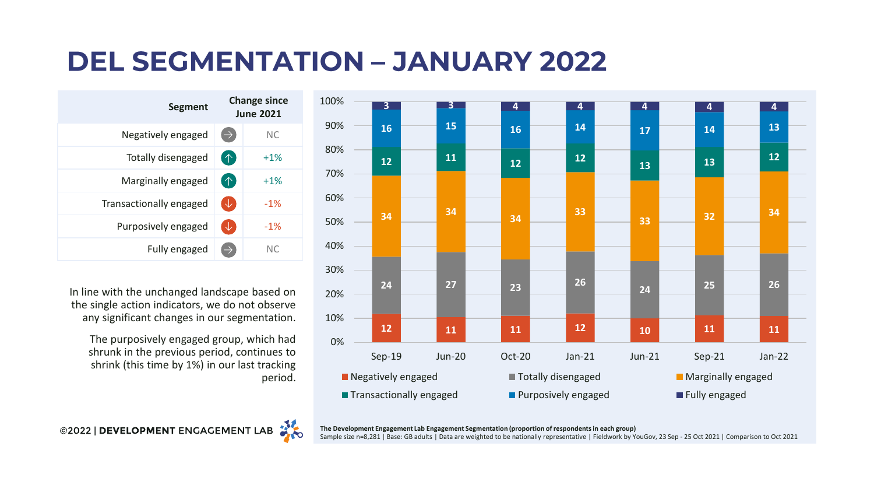# **DEL SEGMENTATION - JANUARY 2022**

| <b>Segment</b>          | <b>Change since</b><br><b>June 2021</b> |           |
|-------------------------|-----------------------------------------|-----------|
| Negatively engaged      | E)                                      | <b>NC</b> |
| Totally disengaged      | 个                                       | $+1%$     |
| Marginally engaged      | 个                                       | $+1\%$    |
| Transactionally engaged | V                                       | $-1\%$    |
| Purposively engaged     | ◡                                       | $-1\%$    |
| Fully engaged           | $\rightarrow$                           | NC.       |

In line with the unchanged landscape based on the single action indicators, we do not observe any significant changes in our segmentation.

The purposively engaged group, which had shrunk in the previous period, continues to shrink (this time by 1%) in our last tracking period.





**The Development Engagement Lab Engagement Segmentation (proportion of respondents in each group)** Sample size n=8,281 | Base: GB adults | Data are weighted to be nationally representative | Fieldwork by YouGov, 23 Sep - 25 Oct 2021 | Comparison to Oct 2021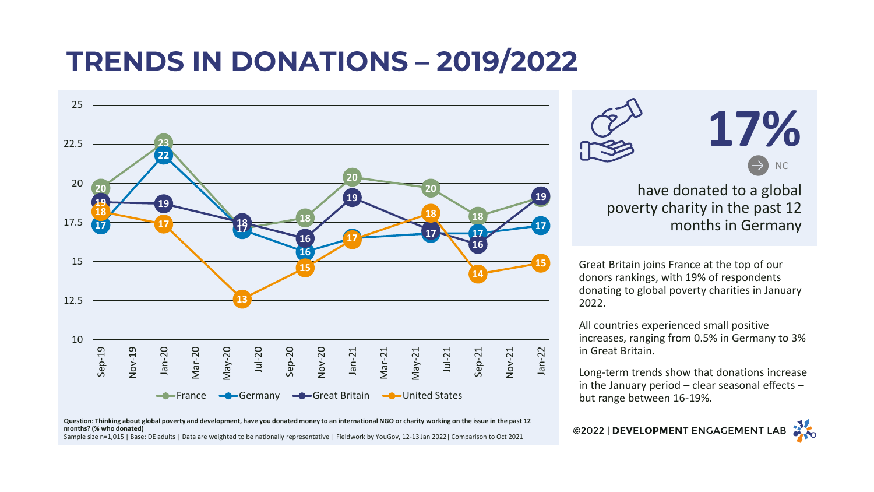# **TRENDS IN DONATIONS - 2019/2022**



#### **Question: Thinking about global poverty and development, have you donated money to an international NGO or charity working on the issue in the past 12 months? (% who donated)** Sample size n=1,015 | Base: DE adults | Data are weighted to be nationally representative | Fieldwork by YouGov, 12-13 Jan 2022| Comparison to Oct 2021



#### have donated to a global poverty charity in the past 12 months in Germany

Great Britain joins France at the top of our donors rankings, with 19% of respondents donating to global poverty charities in January 2022.

All countries experienced small positive increases, ranging from 0.5% in Germany to 3% in Great Britain.

Long-term trends show that donations increase in the January period – clear seasonal effects – but range between 16-19%.

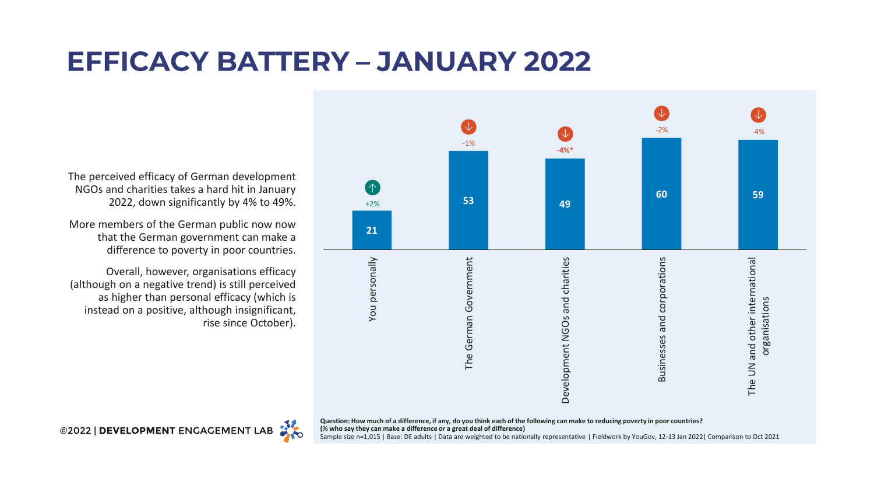# **EFFICACY BATTERY - JANUARY 2022**

The perceived efficacy of German development NGOs and charities takes a hard hit in January 2022, down significantly by 4% to 49%.

More members of the German public now now that the German government can make a difference to poverty in poor countries.

Overall, however, organisations efficacy (although on a negative trend) is still perceived as higher than personal efficacy (which is instead on a positive, although insignificant, rise since October).



**Question: How much of a difference, if any, do you think each of the following can make to reducing poverty in poor countries? (% who say they can make a difference or a great deal of difference)** Sample size n=1,015 | Base: DE adults | Data are weighted to be nationally representative | Fieldwork by YouGov, 12-13 Jan 2022| Comparison to Oct 2021

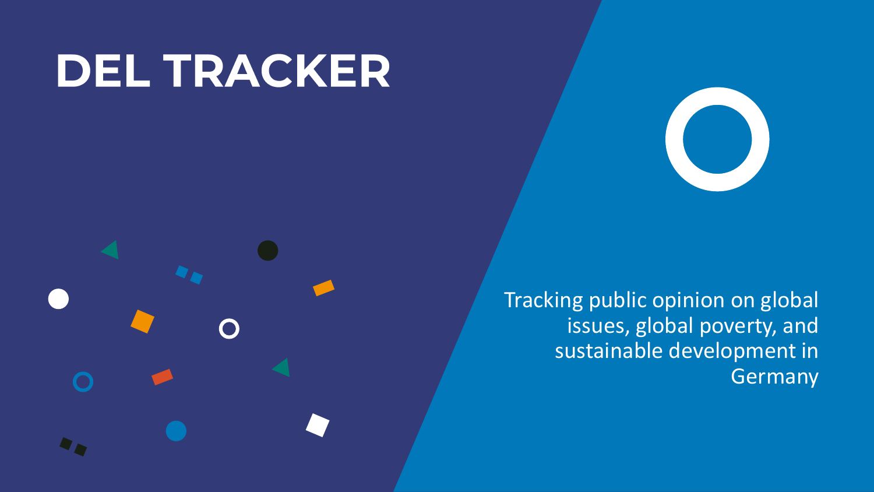# **DEL TRACKER**



Tracking public opinion on global issues, global poverty, and sustainable development in Germany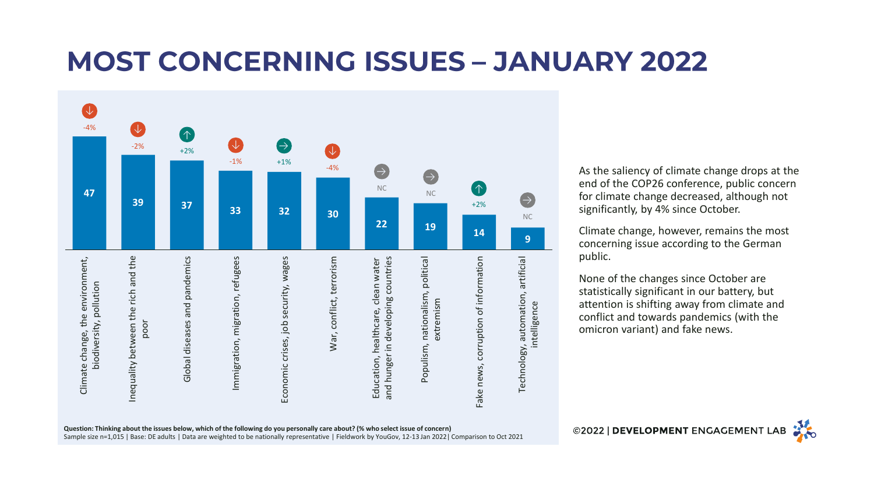# **MOST CONCERNING ISSUES - JANUARY 2022**



As the saliency of climate change drops at the end of the COP26 conference, public concern for climate change decreased, although not significantly, by 4% since October.

Climate change, however, remains the most concerning issue according to the German public.

None of the changes since October are statistically significant in our battery, but attention is shifting away from climate and conflict and towards pandemics (with the omicron variant) and fake news.

**Question: Thinking about the issues below, which of the following do you personally care about? (% who select issue of concern)** Sample size n=1,015 | Base: DE adults | Data are weighted to be nationally representative | Fieldwork by YouGov, 12-13 Jan 2022| Comparison to Oct 2021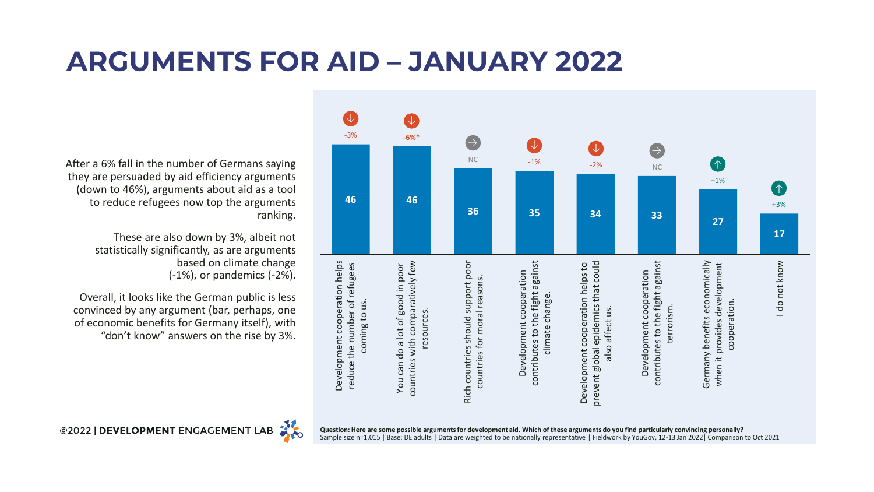# **ARGUMENTS FOR AID - JANUARY 2022**



After a 6% fall in the number of Germans saying they are persuaded by aid efficiency arguments (down to 46%), arguments about aid as a tool to reduce refugees now top the arguments ranking.

> These are also down by 3%, albeit not statistically significantly, as are arguments based on climate change (-1%), or pandemics (-2%).

Overall, it looks like the German public is less convinced by any argument (bar, perhaps, one of economic benefits for Germany itself), with "don't know" answers on the rise by 3%.

©2022 | DEVELOPMENT ENGAGEMENT LAB

**Question: Here are some possible arguments for development aid. Which of these arguments do you find particularly convincing personally?** Sample size n=1,015 | Base: DE adults | Data are weighted to be nationally representative | Fieldwork by YouGov, 12-13 Jan 2022| Comparison to Oct 2021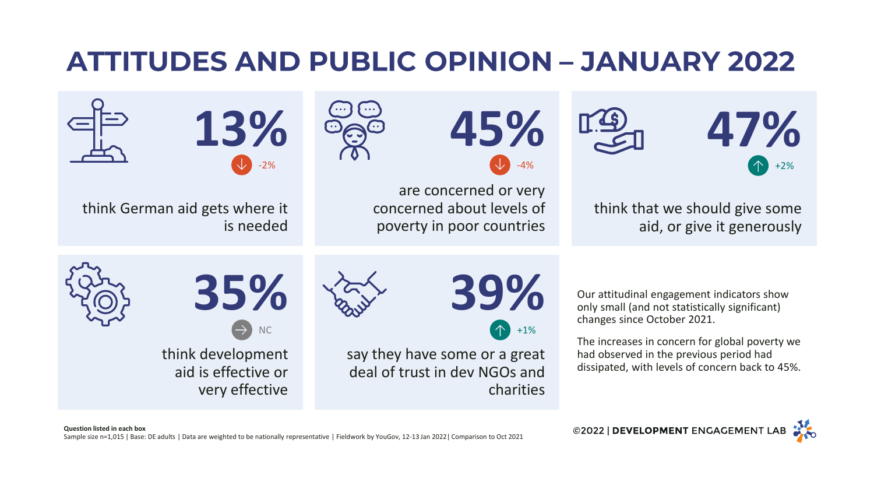# **ATTITUDES AND PUBLIC OPINION - JANUARY 2022**



©2022 | DEVELOPMENT ENGAGEMENT LAB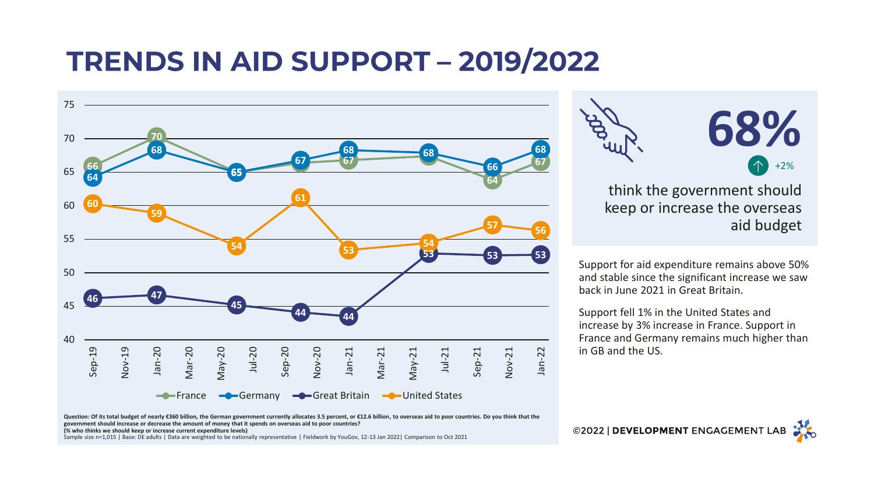# **TRENDS IN AID SUPPORT - 2019/2022**



**68%**

think the government should keep or increase the overseas aid budget

Support for aid expenditure remains above 50% and stable since the significant increase we saw back in June 2021 in Great Britain.

Support fell 1% in the United States and increase by 3% increase in France. Support in France and Germany remains much higher than in GB and the US.

Question: Of its total budget of nearly €360 billion, the German government currently allocates 3.5 percent, or €12.6 billion, to overseas aid to poor countries. Do you think that the **government should increase or decrease the amount of money that it spends on overseas aid to poor countries? (% who thinks we should keep or increase current expenditure levels)**

Sample size n=1,015 | Base: DE adults | Data are weighted to be nationally representative | Fieldwork by YouGov, 12-13 Jan 2022| Comparison to Oct 2021

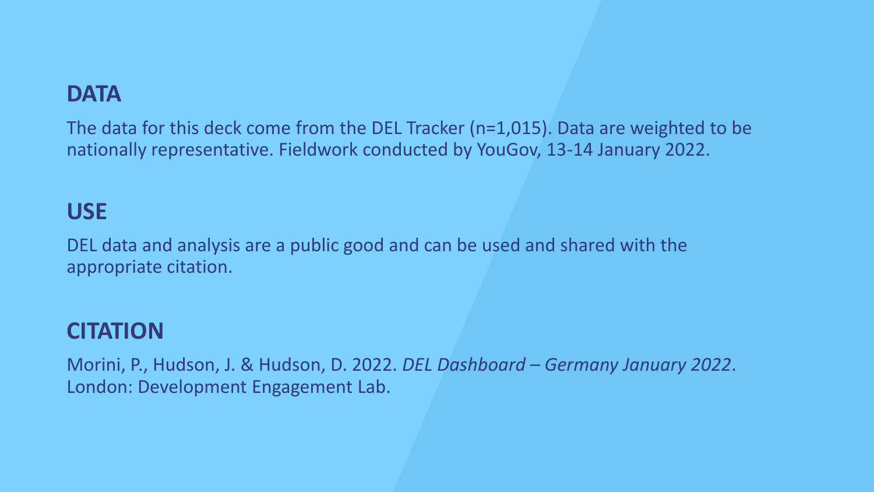### **DATA**

The data for this deck come from the DEL Tracker (n=1,015). Data are weighted to be nationally representative. Fieldwork conducted by YouGov, 13-14 January 2022.

### **USE**

DEL data and analysis are a public good and can be used and shared with the appropriate citation.

### **CITATION**

Morini, P., Hudson, J. & Hudson, D. 2022. *DEL Dashboard – Germany January 2022*. London: Development Engagement Lab.